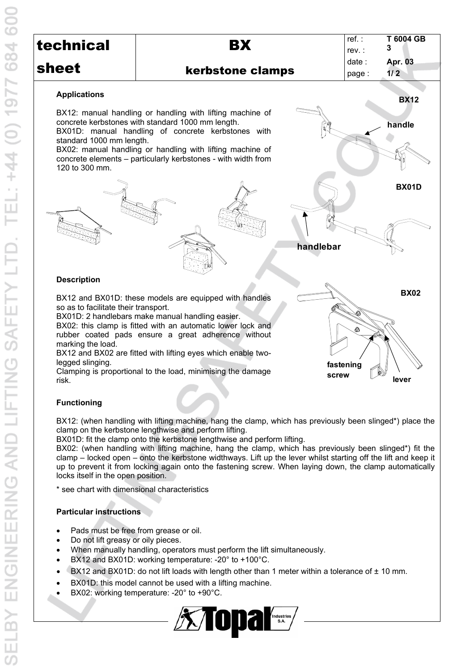| technical                                                                              | BX                                                                                                                                                                                                                                                                                                                                                                                                                                                                                                 | $ref.$ :<br>rev. :      |
|----------------------------------------------------------------------------------------|----------------------------------------------------------------------------------------------------------------------------------------------------------------------------------------------------------------------------------------------------------------------------------------------------------------------------------------------------------------------------------------------------------------------------------------------------------------------------------------------------|-------------------------|
| sheet                                                                                  |                                                                                                                                                                                                                                                                                                                                                                                                                                                                                                    | date                    |
|                                                                                        | kerbstone clamps                                                                                                                                                                                                                                                                                                                                                                                                                                                                                   | page                    |
| <b>Applications</b>                                                                    |                                                                                                                                                                                                                                                                                                                                                                                                                                                                                                    |                         |
| standard 1000 mm length.<br>120 to 300 mm.                                             | BX12: manual handling or handling with lifting machine of<br>concrete kerbstones with standard 1000 mm length.<br>BX01D: manual handling of concrete kerbstones with<br>BX02: manual handling or handling with lifting machine of<br>concrete elements - particularly kerbstones - with width from                                                                                                                                                                                                 |                         |
|                                                                                        |                                                                                                                                                                                                                                                                                                                                                                                                                                                                                                    | handlebar               |
| <b>Description</b>                                                                     |                                                                                                                                                                                                                                                                                                                                                                                                                                                                                                    |                         |
| so as to facilitate their transport.<br>marking the load.<br>legged slinging.<br>risk. | BX12 and BX01D: these models are equipped with handles<br>BX01D: 2 handlebars make manual handling easier.<br>BX02: this clamp is fitted with an automatic lower lock and<br>rubber coated pads ensure a great adherence without<br>BX12 and BX02 are fitted with lifting eyes which enable two-<br>Clamping is proportional to the load, minimising the damage                                                                                                                                    | 4<br>fastening<br>screw |
| <b>Functioning</b>                                                                     |                                                                                                                                                                                                                                                                                                                                                                                                                                                                                                    |                         |
| locks itself in the open position.<br>* see chart with dimensional characteristics     | BX12: (when handling with lifting machine, hang the clamp, which has previously been<br>clamp on the kerbstone lengthwise and perform lifting.<br>BX01D: fit the clamp onto the kerbstone lengthwise and perform lifting.<br>BX02: (when handling with lifting machine, hang the clamp, which has previously be<br>clamp – locked open – onto the kerbstone widthways. Lift up the lever whilst starting of<br>up to prevent it from locking again onto the fastening screw. When laying down, the |                         |
| <b>Particular instructions</b>                                                         |                                                                                                                                                                                                                                                                                                                                                                                                                                                                                                    |                         |
| Pads must be free from grease or oil.<br>Do not lift greasy or oily pieces.            | When manually handling, operators must perform the lift simultaneously.<br>BX12 and BX01D: working temperature: - 20° to +100°C.<br>BX12 and BX01D: do not lift loads with length other than 1 meter within a tolerance<br>BX01D: this model cannot be used with a lifting machine.<br>BX02: working temperature: -20° to +90°C.                                                                                                                                                                   |                         |
|                                                                                        | <b>Extraparts</b>                                                                                                                                                                                                                                                                                                                                                                                                                                                                                  |                         |

### kerbstone clamps



## **handle handlebar BX01D**

# **fastening BX02**

**lever**

reling with lifting machine, hang the clamp, which has previously been slinged\*) place the bstone lengthwise and perform lifting.

ndling with lifting machine, hang the clamp, which has previously been slinged\*) fit the pen – onto the kerbstone widthways. Lift up the lever whilst starting off the lift and keep it rom locking again onto the fastening screw. When laying down, the clamp automatically open position.

#### *<u><b>Ictions</u>*

- e free from grease or oil.
- asy or oily pieces.
- ally handling, operators must perform the lift simultaneously.
- $X01D$ : working temperature: -20 $^{\circ}$  to +100 $^{\circ}$ C.
- K01D: do not lift loads with length other than 1 meter within a tolerance of  $\pm$  10 mm.
- model cannot be used with a lifting machine.
- $\log$  temperature: -20 $^{\circ}$  to +90 $^{\circ}$ C.